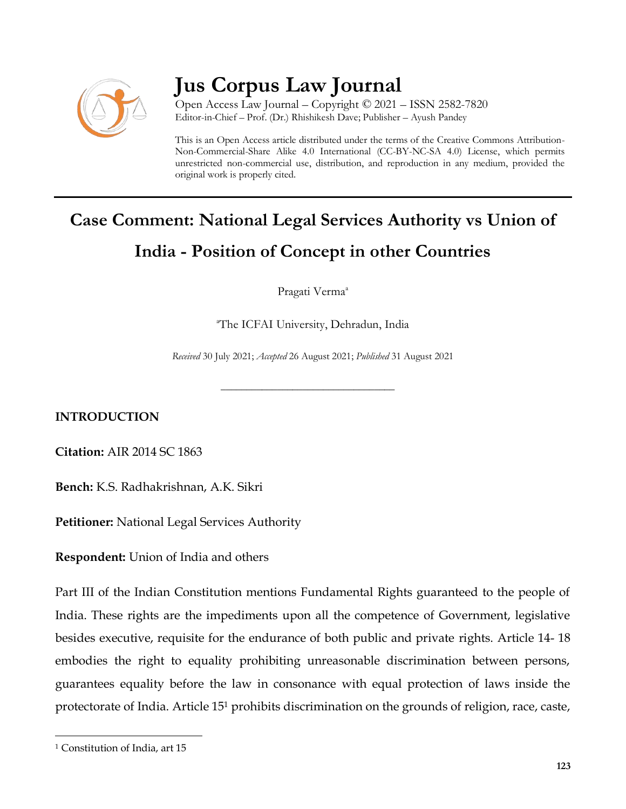

# **Jus Corpus Law Journal**

Open Access Law Journal – Copyright © 2021 – ISSN 2582-7820 Editor-in-Chief – Prof. (Dr.) Rhishikesh Dave; Publisher – Ayush Pandey

This is an Open Access article distributed under the terms of the Creative Commons Attribution-Non-Commercial-Share Alike 4.0 International (CC-BY-NC-SA 4.0) License, which permits unrestricted non-commercial use, distribution, and reproduction in any medium, provided the original work is properly cited.

# **Case Comment: National Legal Services Authority vs Union of India - Position of Concept in other Countries**

Pragati Verma<sup>a</sup>

<sup>a</sup>The ICFAI University, Dehradun, India

*Received* 30 July 2021; *Accepted* 26 August 2021; *Published* 31 August 2021

\_\_\_\_\_\_\_\_\_\_\_\_\_\_\_\_\_\_\_\_\_\_\_\_\_\_\_\_\_\_\_\_\_\_

**INTRODUCTION**

**Citation:** AIR 2014 SC 1863

**Bench:** K.S. Radhakrishnan, A.K. Sikri

**Petitioner:** National Legal Services Authority

**Respondent:** Union of India and others

Part III of the Indian Constitution mentions Fundamental Rights guaranteed to the people of India. These rights are the impediments upon all the competence of Government, legislative besides executive, requisite for the endurance of both public and private rights. Article 14- 18 embodies the right to equality prohibiting unreasonable discrimination between persons, guarantees equality before the law in consonance with equal protection of laws inside the protectorate of India. Article 15<sup>1</sup> prohibits discrimination on the grounds of religion, race, caste,

 $\overline{\phantom{a}}$ 

<sup>&</sup>lt;sup>1</sup> Constitution of India, art 15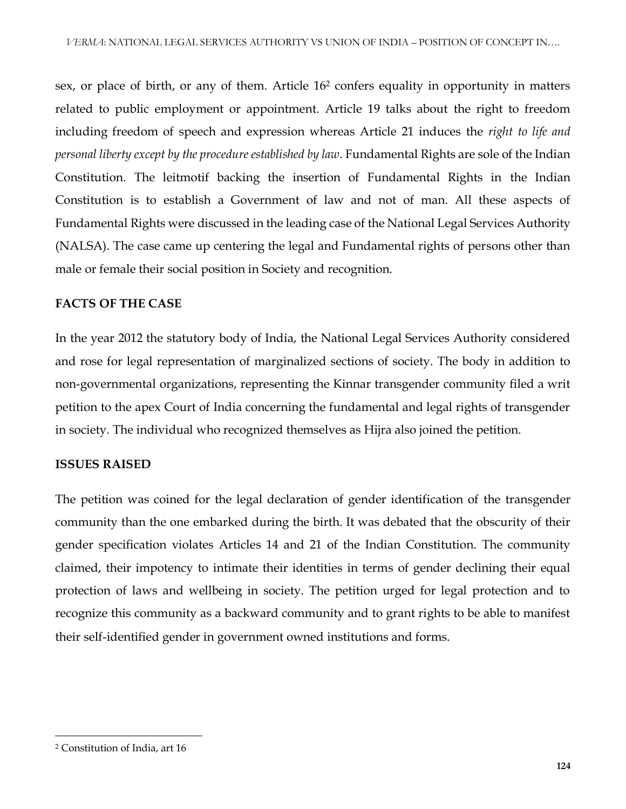sex, or place of birth, or any of them. Article 16<sup>2</sup> confers equality in opportunity in matters related to public employment or appointment. Article 19 talks about the right to freedom including freedom of speech and expression whereas Article 21 induces the *right to life and personal liberty except by the procedure established by law*. Fundamental Rights are sole of the Indian Constitution. The leitmotif backing the insertion of Fundamental Rights in the Indian Constitution is to establish a Government of law and not of man. All these aspects of Fundamental Rights were discussed in the leading case of the National Legal Services Authority (NALSA). The case came up centering the legal and Fundamental rights of persons other than male or female their social position in Society and recognition.

#### **FACTS OF THE CASE**

In the year 2012 the statutory body of India, the National Legal Services Authority considered and rose for legal representation of marginalized sections of society. The body in addition to non-governmental organizations, representing the Kinnar transgender community filed a writ petition to the apex Court of India concerning the fundamental and legal rights of transgender in society. The individual who recognized themselves as Hijra also joined the petition.

#### **ISSUES RAISED**

The petition was coined for the legal declaration of gender identification of the transgender community than the one embarked during the birth. It was debated that the obscurity of their gender specification violates Articles 14 and 21 of the Indian Constitution. The community claimed, their impotency to intimate their identities in terms of gender declining their equal protection of laws and wellbeing in society. The petition urged for legal protection and to recognize this community as a backward community and to grant rights to be able to manifest their self-identified gender in government owned institutions and forms.

 $\overline{\phantom{a}}$ 

<sup>2</sup> Constitution of India, art 16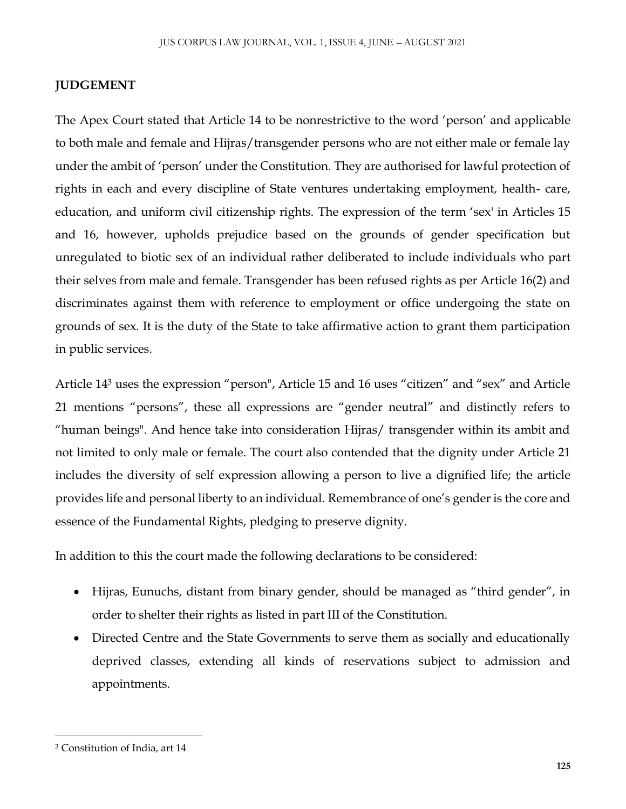### **JUDGEMENT**

The Apex Court stated that Article 14 to be nonrestrictive to the word 'person' and applicable to both male and female and Hijras/transgender persons who are not either male or female lay under the ambit of 'person' under the Constitution. They are authorised for lawful protection of rights in each and every discipline of State ventures undertaking employment, health- care, education, and uniform civil citizenship rights. The expression of the term 'sex' in Articles 15 and 16, however, upholds prejudice based on the grounds of gender specification but unregulated to biotic sex of an individual rather deliberated to include individuals who part their selves from male and female. Transgender has been refused rights as per Article 16(2) and discriminates against them with reference to employment or office undergoing the state on grounds of sex. It is the duty of the State to take affirmative action to grant them participation in public services.

Article 14<sup>3</sup> uses the expression "person", Article 15 and 16 uses "citizen" and "sex" and Article 21 mentions "persons", these all expressions are "gender neutral" and distinctly refers to "human beings". And hence take into consideration Hijras/ transgender within its ambit and not limited to only male or female. The court also contended that the dignity under Article 21 includes the diversity of self expression allowing a person to live a dignified life; the article provides life and personal liberty to an individual. Remembrance of one's gender is the core and essence of the Fundamental Rights, pledging to preserve dignity.

In addition to this the court made the following declarations to be considered:

- Hijras, Eunuchs, distant from binary gender, should be managed as "third gender", in order to shelter their rights as listed in part III of the Constitution.
- Directed Centre and the State Governments to serve them as socially and educationally deprived classes, extending all kinds of reservations subject to admission and appointments.

 $\overline{\phantom{a}}$ 

<sup>3</sup> Constitution of India, art 14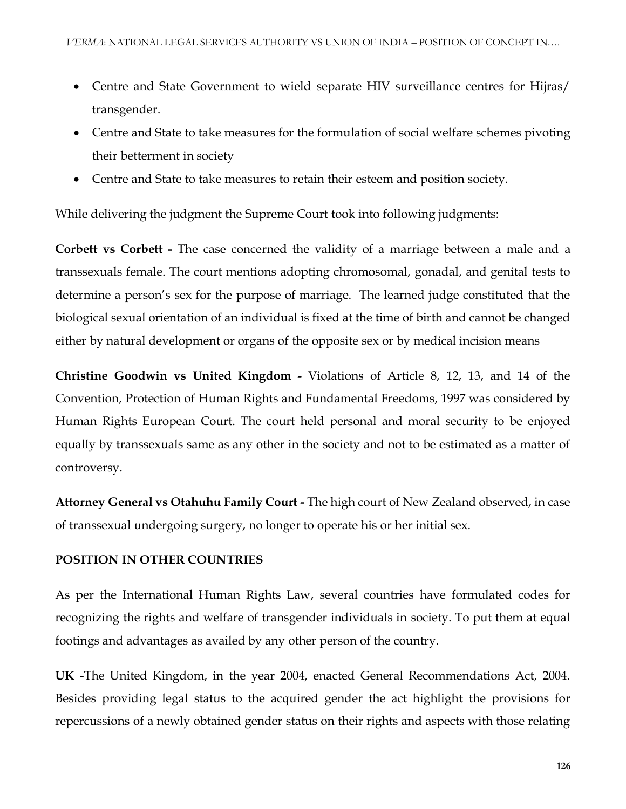- Centre and State Government to wield separate HIV surveillance centres for Hijras/ transgender.
- Centre and State to take measures for the formulation of social welfare schemes pivoting their betterment in society
- Centre and State to take measures to retain their esteem and position society.

While delivering the judgment the Supreme Court took into following judgments:

**Corbett vs Corbett -** The case concerned the validity of a marriage between a male and a transsexuals female. The court mentions adopting chromosomal, gonadal, and genital tests to determine a person's sex for the purpose of marriage. The learned judge constituted that the biological sexual orientation of an individual is fixed at the time of birth and cannot be changed either by natural development or organs of the opposite sex or by medical incision means

**Christine Goodwin vs United Kingdom -** Violations of Article 8, 12, 13, and 14 of the Convention, Protection of Human Rights and Fundamental Freedoms, 1997 was considered by Human Rights European Court. The court held personal and moral security to be enjoyed equally by transsexuals same as any other in the society and not to be estimated as a matter of controversy.

**Attorney General vs Otahuhu Family Court -** The high court of New Zealand observed, in case of transsexual undergoing surgery, no longer to operate his or her initial sex.

### **POSITION IN OTHER COUNTRIES**

As per the International Human Rights Law, several countries have formulated codes for recognizing the rights and welfare of transgender individuals in society. To put them at equal footings and advantages as availed by any other person of the country.

**UK -**The United Kingdom, in the year 2004, enacted General Recommendations Act, 2004. Besides providing legal status to the acquired gender the act highlight the provisions for repercussions of a newly obtained gender status on their rights and aspects with those relating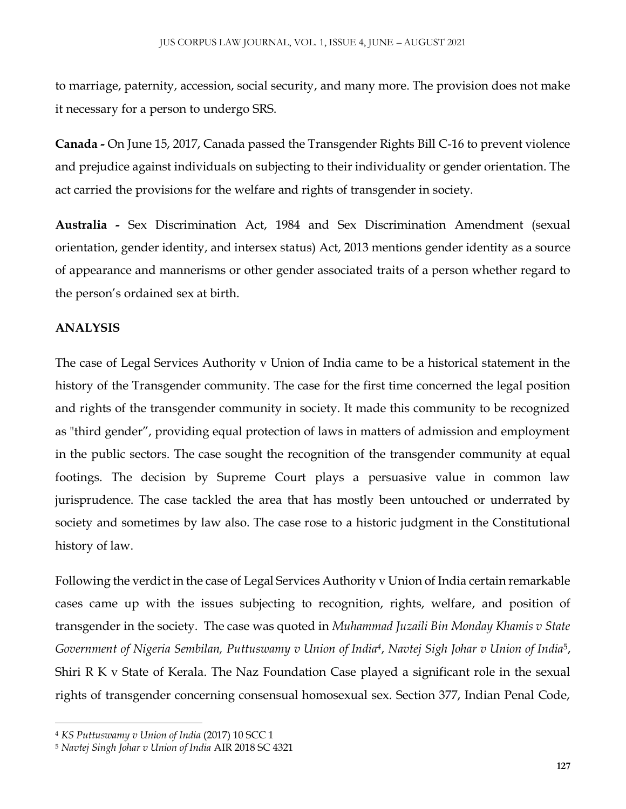to marriage, paternity, accession, social security, and many more. The provision does not make it necessary for a person to undergo SRS.

**Canada -** On June 15, 2017, Canada passed the Transgender Rights Bill C-16 to prevent violence and prejudice against individuals on subjecting to their individuality or gender orientation. The act carried the provisions for the welfare and rights of transgender in society.

**Australia -** Sex Discrimination Act, 1984 and Sex Discrimination Amendment (sexual orientation, gender identity, and intersex status) Act, 2013 mentions gender identity as a source of appearance and mannerisms or other gender associated traits of a person whether regard to the person's ordained sex at birth.

#### **ANALYSIS**

 $\overline{\phantom{a}}$ 

The case of Legal Services Authority v Union of India came to be a historical statement in the history of the Transgender community. The case for the first time concerned the legal position and rights of the transgender community in society. It made this community to be recognized as "third gender", providing equal protection of laws in matters of admission and employment in the public sectors. The case sought the recognition of the transgender community at equal footings. The decision by Supreme Court plays a persuasive value in common law jurisprudence. The case tackled the area that has mostly been untouched or underrated by society and sometimes by law also. The case rose to a historic judgment in the Constitutional history of law.

Following the verdict in the case of Legal Services Authority v Union of India certain remarkable cases came up with the issues subjecting to recognition, rights, welfare, and position of transgender in the society. The case was quoted in *Muhammad Juzaili Bin Monday Khamis v State Government of Nigeria Sembilan, Puttuswamy v Union of India<sup>4</sup>* , *Navtej Sigh Johar v Union of India*<sup>5</sup> , Shiri R K v State of Kerala. The Naz Foundation Case played a significant role in the sexual rights of transgender concerning consensual homosexual sex. Section 377, Indian Penal Code,

<sup>4</sup> *KS Puttuswamy v Union of India* (2017) 10 SCC 1

<sup>5</sup> *Navtej Singh Johar v Union of India* AIR 2018 SC 4321